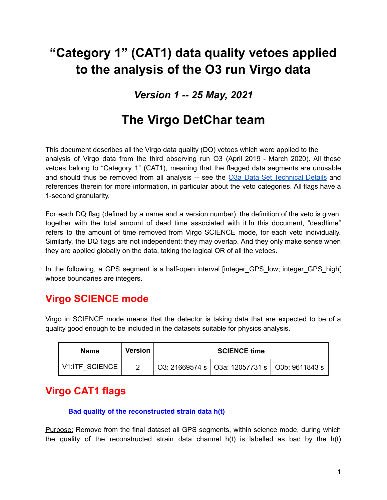# **"Category 1" (CAT1) data quality vetoes applied to the analysis of the O3 run Virgo data**

# *Version 1 -- 25 May, 2021*

# **The Virgo DetChar team**

This document describes all the Virgo data quality (DQ) vetoes which were applied to the analysis of Virgo data from the third observing run O3 (April 2019 - March 2020). All these vetoes belong to "Category 1" (CAT1), meaning that the flagged data segments are unusable and should thus be removed from all analysis -- see the O3a Data Set [Technical](https://www.gw-openscience.org/O3/o3a_details) Details and references therein for more information, in particular about the veto categories. All flags have a 1-second granularity.

For each DQ flag (defined by a name and a version number), the definition of the veto is given, together with the total amount of dead time associated with it.In this document, "deadtime" refers to the amount of time removed from Virgo SCIENCE mode, for each veto individually. Similarly, the DQ flags are not independent: they may overlap. And they only make sense when they are applied globally on the data, taking the logical OR of all the vetoes.

In the following, a GPS segment is a half-open interval [integer GPS low; integer GPS high[ whose boundaries are integers.

# **Virgo SCIENCE mode**

Virgo in SCIENCE mode means that the detector is taking data that are expected to be of a quality good enough to be included in the datasets suitable for physics analysis.

| <b>Name</b>           | <b>Version</b> | <b>SCIENCE time</b> |                                                   |  |  |
|-----------------------|----------------|---------------------|---------------------------------------------------|--|--|
| <b>V1:ITF SCIENCE</b> |                |                     | O3: 21669574 s   O3a: 12057731 s   O3b: 9611843 s |  |  |

# **Virgo CAT1 flags**

### **Bad quality of the reconstructed strain data h(t)**

Purpose: Remove from the final dataset all GPS segments, within science mode, during which the quality of the reconstructed strain data channel  $h(t)$  is labelled as bad by the  $h(t)$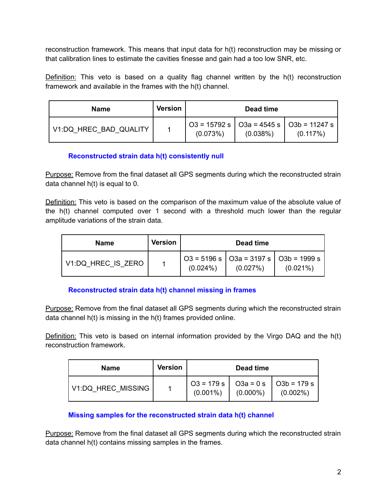reconstruction framework. This means that input data for h(t) reconstruction may be missing or that calibration lines to estimate the cavities finesse and gain had a too low SNR, etc.

Definition: This veto is based on a quality flag channel written by the h(t) reconstruction framework and available in the frames with the h(t) channel.

| <b>Name</b>            | <b>Version</b> | Dead time |          |                                                                             |
|------------------------|----------------|-----------|----------|-----------------------------------------------------------------------------|
| V1:DQ HREC BAD QUALITY |                | (0.073%)  | (0.038%) | $\vert$ O3 = 15792 s $\vert$ O3a = 4545 s $\vert$ O3b = 11247 s<br>(0.117%) |

### **Reconstructed strain data h(t) consistently null**

Purpose: Remove from the final dataset all GPS segments during which the reconstructed strain data channel h(t) is equal to 0.

Definition: This veto is based on the comparison of the maximum value of the absolute value of the h(t) channel computed over 1 second with a threshold much lower than the regular amplitude variations of the strain data.

| Name               | Version | Dead time   |                                                                           |             |
|--------------------|---------|-------------|---------------------------------------------------------------------------|-------------|
| V1:DQ HREC IS ZERO |         | $(0.024\%)$ | $\vert$ O3 = 5196 s $\vert$ O3a = 3197 s $\vert$ O3b = 1999 s<br>(0.027%) | $(0.021\%)$ |

### **Reconstructed strain data h(t) channel missing in frames**

Purpose: Remove from the final dataset all GPS segments during which the reconstructed strain data channel h(t) is missing in the h(t) frames provided online.

**Definition:** This veto is based on internal information provided by the Virgo DAQ and the h(t) reconstruction framework.

| <b>Name</b>        | Version | Dead time   |             |                                                                         |
|--------------------|---------|-------------|-------------|-------------------------------------------------------------------------|
| V1:DQ HREC MISSING |         | $(0.001\%)$ | $(0.000\%)$ | $\vert$ O3 = 179 s $\vert$ O3a = 0 s $\vert$ O3b = 179 s<br>$(0.002\%)$ |

### **Missing samples for the reconstructed strain data h(t) channel**

Purpose: Remove from the final dataset all GPS segments during which the reconstructed strain data channel h(t) contains missing samples in the frames.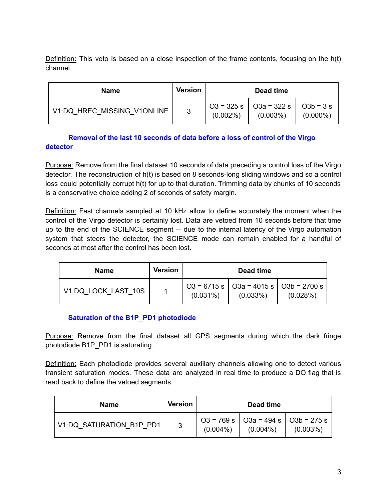Definition: This veto is based on a close inspection of the frame contents, focusing on the h(t) channel.

| Name                        | <b>Version</b> |             | Dead time                                   |                           |
|-----------------------------|----------------|-------------|---------------------------------------------|---------------------------|
| V1:DQ HREC MISSING V1ONLINE | 3              | $(0.002\%)$ | $O3 = 325 s$   $O3a = 322 s$<br>$(0.003\%)$ | $O3b = 3s$<br>$(0.000\%)$ |

# **Removal of the last 10 seconds of data before a loss of control of the Virgo detector**

Purpose: Remove from the final dataset 10 seconds of data preceding a control loss of the Virgo detector. The reconstruction of h(t) is based on 8 seconds-long sliding windows and so a control loss could potentially corrupt h(t) for up to that duration. Trimming data by chunks of 10 seconds is a conservative choice adding 2 of seconds of safety margin.

Definition: Fast channels sampled at 10 kHz allow to define accurately the moment when the control of the Virgo detector is certainly lost. Data are vetoed from 10 seconds before that time up to the end of the SCIENCE segment -- due to the internal latency of the Virgo automation system that steers the detector, the SCIENCE mode can remain enabled for a handful of seconds at most after the control has been lost.

| <b>Name</b>         | <b>Version</b> | Dead time   |                                                         |          |
|---------------------|----------------|-------------|---------------------------------------------------------|----------|
| V1:DQ LOCK LAST 10S |                | $(0.031\%)$ | O3 = 6715 s   O3a = 4015 s   O3b = 2700 s  <br>(0.033%) | (0.028%) |

# **Saturation of the B1P\_PD1 photodiode**

Purpose: Remove from the final dataset all GPS segments during which the dark fringe photodiode B1P\_PD1 is saturating.

**Definition:** Each photodiode provides several auxiliary channels allowing one to detect various transient saturation modes. These data are analyzed in real time to produce a DQ flag that is read back to define the vetoed segments.

| <b>Name</b>              | Version |             | Dead time                                                                 |             |
|--------------------------|---------|-------------|---------------------------------------------------------------------------|-------------|
| V1:DQ SATURATION B1P PD1 | 3       | $(0.004\%)$ | $\vert$ O3 = 769 s $\vert$ O3a = 494 s $\vert$ O3b = 275 s<br>$(0.004\%)$ | $(0.003\%)$ |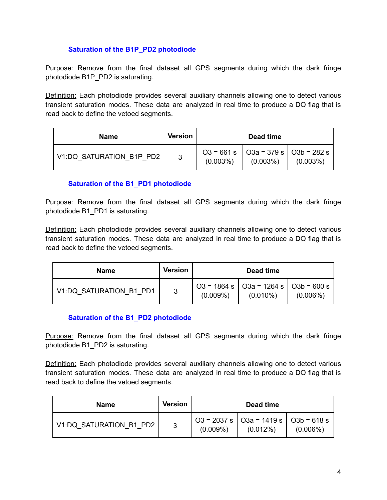## **Saturation of the B1P\_PD2 photodiode**

Purpose: Remove from the final dataset all GPS segments during which the dark fringe photodiode B1P\_PD2 is saturating.

Definition: Each photodiode provides several auxiliary channels allowing one to detect various transient saturation modes. These data are analyzed in real time to produce a DQ flag that is read back to define the vetoed segments.

| <b>Name</b>              | <b>Version</b> |                                                         | Dead time   |             |
|--------------------------|----------------|---------------------------------------------------------|-------------|-------------|
| V1:DQ SATURATION B1P PD2 | 3              | $O3 = 661 s$   O3a = 379 s   O3b = 282 s<br>$(0.003\%)$ | $(0.003\%)$ | $(0.003\%)$ |

# **Saturation of the B1\_PD1 photodiode**

Purpose: Remove from the final dataset all GPS segments during which the dark fringe photodiode B1\_PD1 is saturating.

Definition: Each photodiode provides several auxiliary channels allowing one to detect various transient saturation modes. These data are analyzed in real time to produce a DQ flag that is read back to define the vetoed segments.

| <b>Name</b>             | <b>Version</b> | Dead time   |                                                                             |             |
|-------------------------|----------------|-------------|-----------------------------------------------------------------------------|-------------|
| V1:DQ SATURATION B1 PD1 | -3             | $(0.009\%)$ | $\vert$ O3 = 1864 s $\vert$ O3a = 1264 s $\vert$ O3b = 600 s<br>$(0.010\%)$ | $(0.006\%)$ |

### **Saturation of the B1\_PD2 photodiode**

Purpose: Remove from the final dataset all GPS segments during which the dark fringe photodiode B1\_PD2 is saturating.

**Definition:** Each photodiode provides several auxiliary channels allowing one to detect various transient saturation modes. These data are analyzed in real time to produce a DQ flag that is read back to define the vetoed segments.

| <b>Name</b>             | Version | Dead time   |                                                      |             |
|-------------------------|---------|-------------|------------------------------------------------------|-------------|
| V1:DQ SATURATION B1 PD2 | -3      | $(0.009\%)$ | O3 = 2037 s   O3a = 1419 s   O3b = 618 s<br>(0.012%) | $(0.006\%)$ |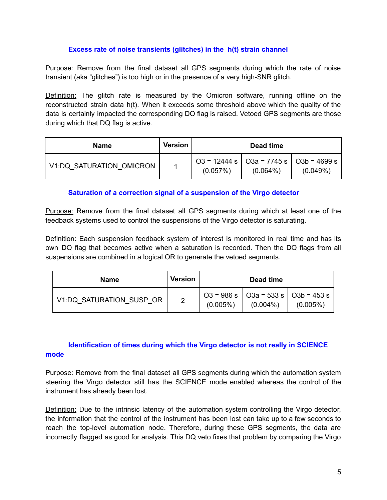#### **Excess rate of noise transients (glitches) in the h(t) strain channel**

Purpose: Remove from the final dataset all GPS segments during which the rate of noise transient (aka "glitches") is too high or in the presence of a very high-SNR glitch.

Definition: The glitch rate is measured by the Omicron software, running offline on the reconstructed strain data h(t). When it exceeds some threshold above which the quality of the data is certainly impacted the corresponding DQ flag is raised. Vetoed GPS segments are those during which that DQ flag is active.

| <b>Name</b>              | <b>Version</b> |          | Dead time                                                                     |          |
|--------------------------|----------------|----------|-------------------------------------------------------------------------------|----------|
| V1:DQ SATURATION OMICRON |                | (0.057%) | $\vert$ O3 = 12444 s $\vert$ O3a = 7745 s $\vert$ O3b = 4699 s<br>$(0.064\%)$ | (0.049%) |

### **Saturation of a correction signal of a suspension of the Virgo detector**

Purpose: Remove from the final dataset all GPS segments during which at least one of the feedback systems used to control the suspensions of the Virgo detector is saturating.

Definition: Each suspension feedback system of interest is monitored in real time and has its own DQ flag that becomes active when a saturation is recorded. Then the DQ flags from all suspensions are combined in a logical OR to generate the vetoed segments.

| <b>Name</b>              | <b>Version</b> |             | Dead time   |                                                                                                              |
|--------------------------|----------------|-------------|-------------|--------------------------------------------------------------------------------------------------------------|
| V1:DQ_SATURATION_SUSP_OR | 2              | $(0.005\%)$ | $(0.004\%)$ | $1 \text{ O3} = 986 \text{ s }   \text{ O3a} = 533 \text{ s }   \text{ O3b} = 453 \text{ s }$<br>$(0.005\%)$ |

# **Identification of times during which the Virgo detector is not really in SCIENCE mode**

Purpose: Remove from the final dataset all GPS segments during which the automation system steering the Virgo detector still has the SCIENCE mode enabled whereas the control of the instrument has already been lost.

Definition: Due to the intrinsic latency of the automation system controlling the Virgo detector, the information that the control of the instrument has been lost can take up to a few seconds to reach the top-level automation node. Therefore, during these GPS segments, the data are incorrectly flagged as good for analysis. This DQ veto fixes that problem by comparing the Virgo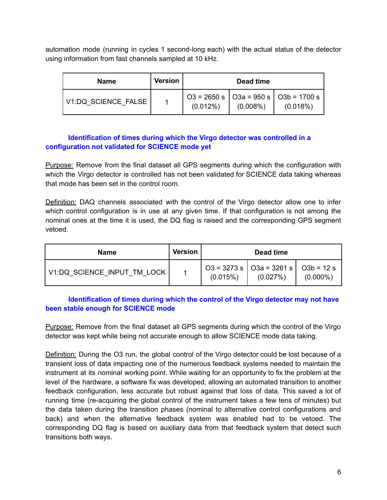automation mode (running in cycles 1 second-long each) with the actual status of the detector using information from fast channels sampled at 10 kHz.

| <b>Name</b>         | Version | Dead time   |             |                                                                          |
|---------------------|---------|-------------|-------------|--------------------------------------------------------------------------|
| V1:DQ SCIENCE FALSE |         | $(0.012\%)$ | $(0.008\%)$ | $\vert$ O3 = 2650 s $\vert$ O3a = 950 s $\vert$ O3b = 1700 s<br>(0.018%) |

### **Identification of times during which the Virgo detector was controlled in a configuration not validated for SCIENCE mode yet**

Purpose: Remove from the final dataset all GPS segments during which the configuration with which the Virgo detector is controlled has not been validated for SCIENCE data taking whereas that mode has been set in the control room.

**Definition:** DAQ channels associated with the control of the Virgo detector allow one to infer which control configuration is in use at any given time. If that configuration is not among the nominal ones at the time it is used, the DQ flag is raised and the corresponding GPS segment vetoed.

| <b>Name</b>                 | Version |          | Dead time                                           |             |
|-----------------------------|---------|----------|-----------------------------------------------------|-------------|
| V1:DQ SCIENCE INPUT TM LOCK |         | (0.015%) | O3 = 3273 s   O3a = 3261 s   O3b = 12 s<br>(0.027%) | $(0.000\%)$ |

# **Identification of times during which the control of the Virgo detector may not have been stable enough for SCIENCE mode**

Purpose: Remove from the final dataset all GPS segments during which the control of the Virgo detector was kept while being not accurate enough to allow SCIENCE mode data taking.

Definition: During the O3 run, the global control of the Virgo detector could be lost because of a transient loss of data impacting one of the numerous feedback systems needed to maintain the instrument at its nominal working point. While waiting for an opportunity to fix the problem at the level of the hardware, a software fix was developed, allowing an automated transition to another feedback configuration, less accurate but robust against that loss of data. This saved a lot of running time (re-acquiring the global control of the instrument takes a few tens of minutes) but the data taken during the transition phases (nominal to alternative control configurations and back) and when the alternative feedback system was enabled had to be vetoed. The corresponding DQ flag is based on auxiliary data from that feedback system that detect such transitions both ways.